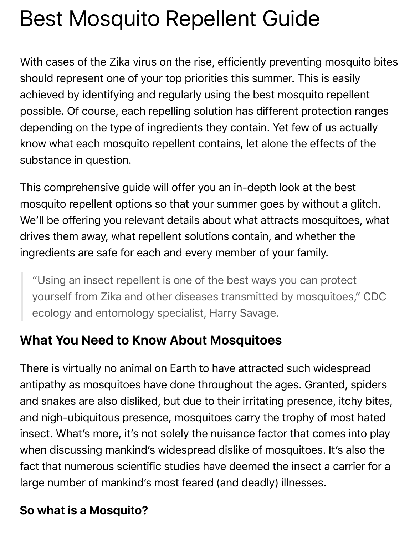# Best Mosquito Repellent Guide

With cases of the Zika virus on the rise, efficiently preventing mosquito bites should represent one of your top priorities this summer. This is easily achieved by identifying and regularly using the best mosquito repellent possible. Of course, each repelling solution has different protection ranges depending on the type of ingredients they contain. Yet few of us actually know what each mosquito repellent contains, let alone the effects of the substance in question.

This comprehensive guide will offer you an in-depth look at the best mosquito repellent options so that your summer goes by without a glitch. We'll be offering you relevant details about what attracts mosquitoes, what drives them away, what repellent solutions contain, and whether the ingredients are safe for each and every member of your family.

"Using an insect repellent is one of the best ways you can protect yourself from Zika and other diseases transmitted by mosquitoes," CDC ecology and entomology specialist, Harry Savage.

## **What You Need to Know About Mosquitoes**

There is virtually no animal on Earth to have attracted such widespread antipathy as mosquitoes have done throughout the ages. Granted, spiders and snakes are also disliked, but due to their irritating presence, itchy bites, and nigh-ubiquitous presence, mosquitoes carry the trophy of most hated insect. What's more, it's not solely the nuisance factor that comes into play when discussing mankind's widespread dislike of mosquitoes. It's also the fact that numerous scientific studies have deemed the insect a carrier for a large number of mankind's most feared (and deadly) illnesses.

## **So what is a Mosquito?**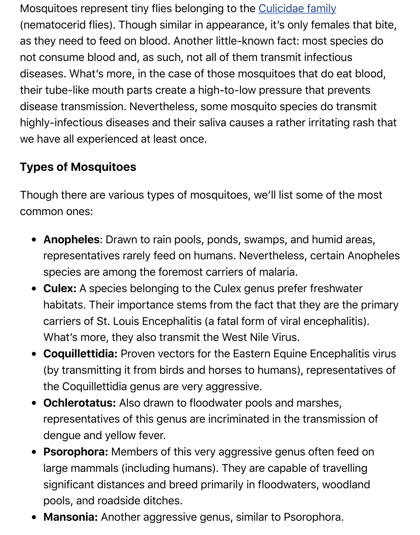diseases. What's more, in the case of those mo[squitoes that do e](http://mosquito-taxonomic-inventory.info/simpletaxonomy/term/6045)at blood, their tube-like mouth parts create a high-to-low pressure that prever disease transmission. Nevertheless, some mosquito species do tran highly-infectious diseases and their saliva causes a rather irritating r we have all experienced at least once.

# **Types of Mosquitoes**

Though there are various types of mosquitoes, we'll list some of the common ones:

- **Anopheles**: Drawn to rain pools, ponds, swamps, and humid are representatives rarely feed on humans. Nevertheless, certain Ar species are among the foremost carriers of malaria.
- **Culex:** A species belonging to the Culex genus prefer freshwate habitats. Their importance stems from the fact that they are the carriers of St. Louis Encephalitis (a fatal form of viral encephaliti What's more, they also transmit the West Nile Virus.
- **Coquillettidia:** Proven vectors for the Eastern Equine Encephalitien (by transmitting it from birds and horses to humans), representative of the Coquillettidia genus are very aggressive.
- **Ochlerotatus:** Also drawn to floodwater pools and marshes, representatives of this genus are incriminated in the transmission dengue and yellow fever.
- **Psorophora:** Members of this very aggressive genus often feed large mammals (including humans). They are capable of travelling significant distances and breed primarily in floodwaters, woodla pools, and roadside ditches.
- **Mansonia:** Another aggressive genus, similar to Psorophora.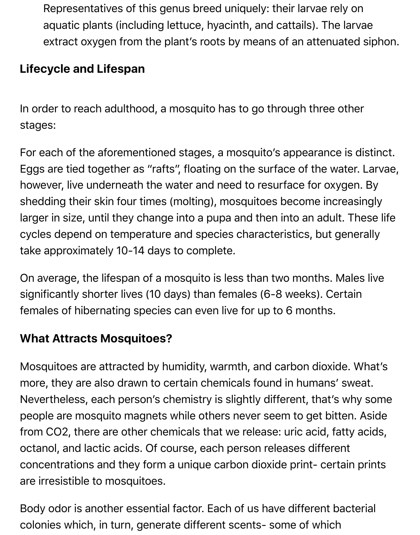Representatives of this genus breed uniquely: their larvae rely on aquatic plants (including lettuce, hyacinth, and cattails). The larvae extract oxygen from the plant's roots by means of an attenuated siphon.

#### **Lifecycle and Lifespan**

In order to reach adulthood, a mosquito has to go through three other stages:

For each of the aforementioned stages, a mosquito's appearance is distinct. Eggs are tied together as "rafts", floating on the surface of the water. Larvae, however, live underneath the water and need to resurface for oxygen. By shedding their skin four times (molting), mosquitoes become increasingly larger in size, until they change into a pupa and then into an adult. These life cycles depend on temperature and species characteristics, but generally take approximately 10-14 days to complete.

On average, the lifespan of a mosquito is less than two months. Males live significantly shorter lives (10 days) than females (6-8 weeks). Certain females of hibernating species can even live for up to 6 months.

## **What Attracts Mosquitoes?**

Mosquitoes are attracted by humidity, warmth, and carbon dioxide. What's more, they are also drawn to certain chemicals found in humans' sweat. Nevertheless, each person's chemistry is slightly different, that's why some people are mosquito magnets while others never seem to get bitten. Aside from CO2, there are other chemicals that we release: uric acid, fatty acids, octanol, and lactic acids. Of course, each person releases different concentrations and they form a unique carbon dioxide print- certain prints are irresistible to mosquitoes.

Body odor is another essential factor. Each of us have different bacterial colonies which, in turn, generate different scents- some of which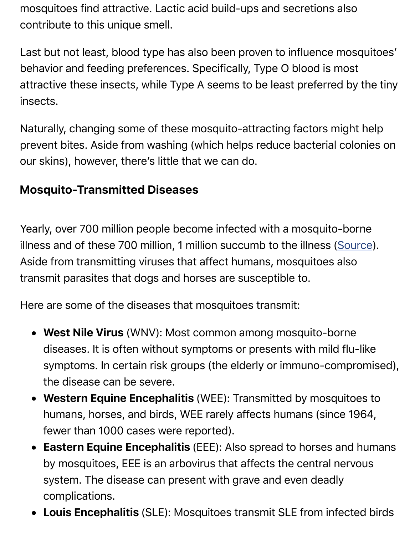behavior and feeding preferences. Specifically, Type O blood is most attractive these insects, while Type A seems to be least preferred by insects.

Naturally, changing some of these mosquito-attracting factors might prevent bites. Aside from washing (which helps reduce bacterial colonies our skins), however, there's little that we can do.

## **Mosquito-Transmitted Diseases**

Yearly, over 700 million people become infected with a mosquito-bor illness and of these 700 million, 1 million succumb to the illness (Source). Aside from transmitting viruses that affect humans, mosquitoes also transmit parasites that dogs and horses are susceptible to.

Here are some of the diseases that mosquitoes transmit:

- **West Nile Virus** (WNV): Most common among mosquito-borne diseases. It is often without symptoms or presents with mild flusymptoms. In certain risk groups (the elderly or immuno-compr the disease can be severe.
- **Western Equine Encephalitis** (WEE): Transmitted by mosquito humans, horses, and birds, WEE rarely affects humans (since 1944) fewer than 1000 cases were reported).
- **Eastern Equine Encephalitis** (EEE): Also spread to horses and by mosquitoes, EEE is an arbovirus that affects the central nerve system. The disease can present with grave and even deadly complications.
- **Louis Encephalitis** (SLE): Mosquitoes transmit SLE from infected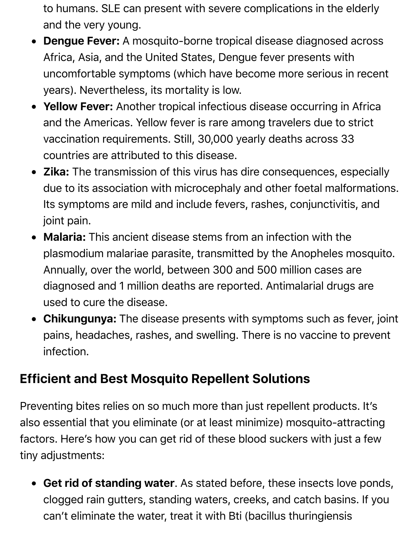to humans. SLE can present with severe complications in the elderly and the very young.

- **Dengue Fever:** A mosquito-borne tropical disease diagnosed across Africa, Asia, and the United States, Dengue fever presents with uncomfortable symptoms (which have become more serious in recent years). Nevertheless, its mortality is low.
- **Yellow Fever:** Another tropical infectious disease occurring in Africa and the Americas. Yellow fever is rare among travelers due to strict vaccination requirements. Still, 30,000 yearly deaths across 33 countries are attributed to this disease.
- **Zika:** The transmission of this virus has dire consequences, especially due to its association with microcephaly and other foetal malformations. Its symptoms are mild and include fevers, rashes, conjunctivitis, and joint pain.
- **Malaria:** This ancient disease stems from an infection with the plasmodium malariae parasite, transmitted by the Anopheles mosquito. Annually, over the world, between 300 and 500 million cases are diagnosed and 1 million deaths are reported. Antimalarial drugs are used to cure the disease.
- **Chikungunya:** The disease presents with symptoms such as fever, joint pains, headaches, rashes, and swelling. There is no vaccine to prevent infection.

## **Efficient and Best Mosquito Repellent Solutions**

Preventing bites relies on so much more than just repellent products. It's also essential that you eliminate (or at least minimize) mosquito-attracting factors. Here's how you can get rid of these blood suckers with just a few tiny adjustments:

**Get rid of standing water**. As stated before, these insects love ponds, clogged rain gutters, standing waters, creeks, and catch basins. If you can't eliminate the water, treat it with Bti (bacillus thuringiensis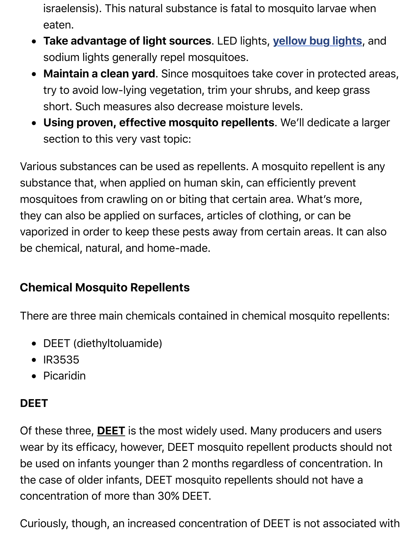- **Maintain a clean yard**. Since mosquitoes take cover in protected areas, try to avoid low-lying vegetation, trim your shrubs, and keep gras short. Such measures also decrease moisture levels.
- **Using proven, effective mosquito repellents**. We'll dedicate a section to this very vast topic:

Various substances can be used as repellents. A mosquito repellent substance that, when applied on human skin, can efficiently prevent mosquitoes from crawling on or biting that certain area. What's more they can also be applied on surfaces, articles of clothing, or can be vaporized in order to keep these pests away from certain areas. It ca be chemical, natural, and home-made.

#### **Chemical Mosquito Repellents**

There are three main chemicals contained in chemical mosquito repe

- DEET (diethyltoluamide)
- IR3535
- Picaridin

#### **DEET**

Of these three, **DEET** is the most widely used. Many producers and u wear by its efficacy, however, DEET mosquito repellent products sho be used on infants younger than 2 months regardless of concentration. the case of older infants, DEET mosquito repellents should not have concentration of more than 30% DEET.

Curiously, though, an increased concentration of DEET is not association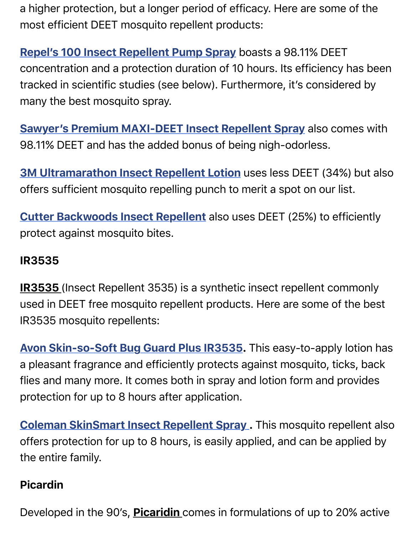tracked in scientific studies (see below). Furthermore, it's considered many the best mosquito spray.

concentration and a protection duration of 10 hours. Its efficiency has been

**[Sawyer's Premium MAXI-DEET Insect Rep](http://pestrepellercenter.com/product/B004H89KFC/US/pestrepell-20/)ellent Spray** also come 98.11% DEET and has the added bonus of being nigh-odorless.

**3M Ultramarathon Insect Repellent Lotion** uses less DEET (34%) b [offers sufficient mosquito repelling punch to merit a spot o](http://pestrepellercenter.com/product/B01BQ1BYCE/US/pestrepell-20/)n our list.

**Cutter Backwoods Insect Repellent** also uses DEET (25%) to effici [protect against mosquito bites.](http://pestrepellercenter.com/product/B004LA5SUC/US/pestrepell-20/)

#### **IR3535**

**IR3535** [\(Insect Repellent 3535\) is a sy](http://pestrepellercenter.com/product/B00P7MZZ60/US/pestrepell-20/)nthetic insect repellent comm used in DEET free mosquito repellent products. Here are some of the IR3535 mosquito repellents:

**Avon Skin-so-Soft Bug Guard Plus IR3535.** This easy-to-apply lot a pleasant fragrance and efficiently protects against mosquito, ticks, flies and many more. It comes both in spray and lotion form and prov protection for up to 8 hours after application.

**[Coleman SkinSmart Insect Repellent Spray](http://pestrepellercenter.com/product/B0001ZWPI4/US/pestrepell-20/). This mosquito repellent also repellent also repellent also repellent also repellent also repellent also repellent also repellent also repellent also repellent also repellent also** offers protection for up to 8 hours, is easily applied, and can be appl the entire family.

#### **[Picardin](http://pestrepellercenter.com/product/B00D2I9C2O/US/pestrepell-20/)**

Developed in the 90's, **Picaridin** comes in formulations of up to 20%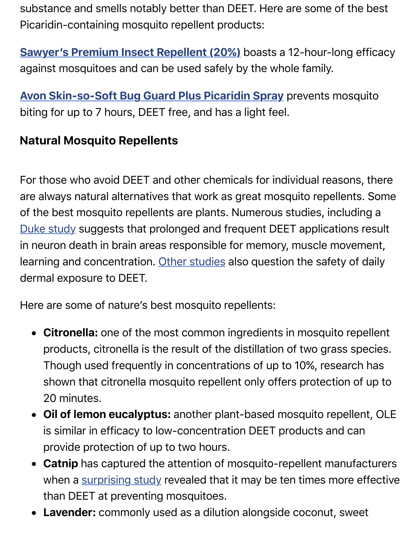against mosquitoes and can be used safely by the whole family.

**Avon Skin-so-Soft Bug Guard Plus Picaridin Spray** prevents mosd biting for up to 7 hours, DEET free, and has a light feel.

#### **Natural Mosquito Repellents**

[For those who avoid DEET and other chemicals for ind](http://pestrepellercenter.com/product/B000FTNBLQ/US/pestrepell-20/)ividual reason are always natural alternatives that work as great mosquito repellent of the best mosquito repellents are plants. Numerous studies, includ Duke study suggests that prolonged and frequent DEET applications in neuron death in brain areas responsible for memory, muscle move learning and concentration. Other studies also question the safety of dermal exposure to DEET.

[Here are so](https://today.duke.edu/2002/05/deet0502.html)me of nature's best mosquito repellents:

- Citronella: one of the [most common](http://www.tandfonline.com/doi/abs/10.1080/152873901300007824) ingredients in mosquito re products, citronella is the result of the distillation of two grass s Though used frequently in concentrations of up to 10%, researd shown that citronella mosquito repellent only offers protection of 20 minutes.
- **Oil of lemon eucalyptus:** another plant-based mosquito repellent, Oleman is similar in efficacy to low-concentration DEET products and ca provide protection of up to two hours.
- Catnip has captured the attention of mosquito-repellent manuf when a surprising study revealed that it may be ten times more than DEET at preventing mosquitoes.
- Lavender: commonly used as a dilution alongside coconut, swe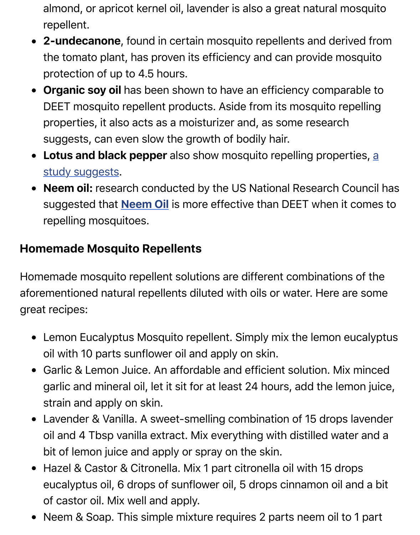- protection of up to 4.5 hours.
- **Organic soy oil** has been shown to have an efficiency compara DEET mosquito repellent products. Aside from its mosquito repelling properties, it also acts as a moisturizer and, as some research suggests, can even slow the growth of bodily hair.
- **Lotus and black pepper** also show mosquito repelling propertions, study suggests.
- Neem oil: research conducted by the US National Research Co suggested that **Neem Oil** is more effective than DEET when it c repelling mosquitoes.

#### **Ho[memade Mosquito Repellents](http://www.ncbi.nlm.nih.gov/pubmed/21967692)**

Homemade mosquit[o repellen](http://pestrepellercenter.com/product/B004QAWGIO/US/pestrepell-20/)t solutions are different combinations aforementioned natural repellents diluted with oils or water. Here are great recipes:

- Lemon Eucalyptus Mosquito repellent. Simply mix the lemon eu oil with 10 parts sunflower oil and apply on skin.
- Garlic & Lemon Juice. An affordable and efficient solution. Mix r garlic and mineral oil, let it sit for at least 24 hours, add the lemo strain and apply on skin.
- Lavender & Vanilla. A sweet-smelling combination of 15 drops la oil and 4 Tbsp vanilla extract. Mix everything with distilled water bit of lemon juice and apply or spray on the skin.
- Hazel & Castor & Citronella. Mix 1 part citronella oil with 15 drop eucalyptus oil, 6 drops of sunflower oil, 5 drops cinnamon oil an of castor oil. Mix well and apply.
- Neem & Soap. This simple mixture requires 2 parts neem oil to 1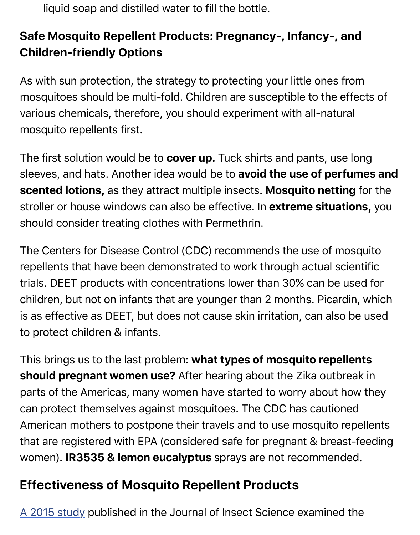As with sun protection, the strategy to protecting your little ones from mosquitoes should be multi-fold. Children are susceptible to the effect various chemicals, therefore, you should experiment with all-natural mosquito repellents first.

The first solution would be to **cover up.** Tuck shirts and pants, use long sleeves, and hats. Another idea would be to avoid the use of perfur **scented lotions,** as they attract multiple insects. Mosquito netting stroller or house windows can also be effective. In extreme situation should consider treating clothes with Permethrin.

The Centers for Disease Control (CDC) recommends the use of mos repellents that have been demonstrated to work through actual scier trials. DEET products with concentrations lower than 30% can be use children, but not on infants that are younger than 2 months. Picardin is as effective as DEET, but does not cause skin irritation, can also be to protect children & infants.

This brings us to the last problem: what types of mosquito repeller **should pregnant women use?** After hearing about the Zika outbrea parts of the Americas, many women have started to worry about how can protect themselves against mosquitoes. The CDC has cautioned American mothers to postpone their travels and to use mosquito rep that are registered with EPA (considered safe for pregnant & breast-f women). **IR3535 & lemon eucalyptus** sprays are not recommended.

# **Effectiveness of Mosquito Repellent Products**

A 2015 study published in the Journal of Insect Science examined th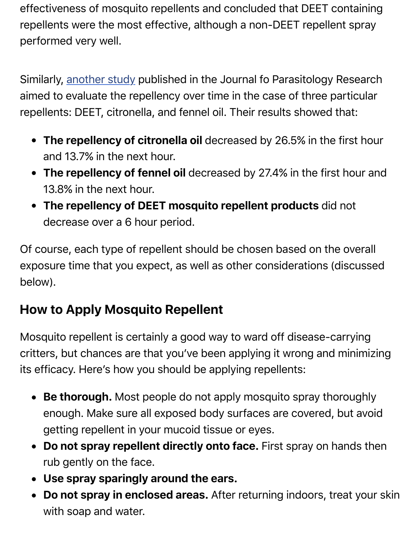Similarly, another study published in the Journal fo Parasitology Rese aimed to evaluate the repellency over time in the case of three partic repellents: DEET, citronella, and fennel oil. Their results showed that:

- **The repellency of citronella oil** decreased by 26.5% in the first and [13.7% in the ne](http://www.hindawi.com/journals/jpr/2015/361021/)xt hour.
- **The repellency of fennel oil** decreased by 27.4% in the first hor 13.8% in the next hour.
- **The repellency of DEET mosquito repellent products** did not decrease over a 6 hour period.

Of course, each type of repellent should be chosen based on the over exposure time that you expect, as well as other considerations (discu below).

# **How to Apply Mosquito Repellent**

Mosquito repellent is certainly a good way to ward off disease-carry critters, but chances are that you've been applying it wrong and min its efficacy. Here's how you should be applying repellents:

- Be thorough. Most people do not apply mosquito spray thorough enough. Make sure all exposed body surfaces are covered, but getting repellent in your mucoid tissue or eyes.
- **Do not spray repellent directly onto face.** First spray on hand rub gently on the face.
- **Use spray sparingly around the ears.**
- **Do not spray in enclosed areas.** After returning indoors, treat with soap and water.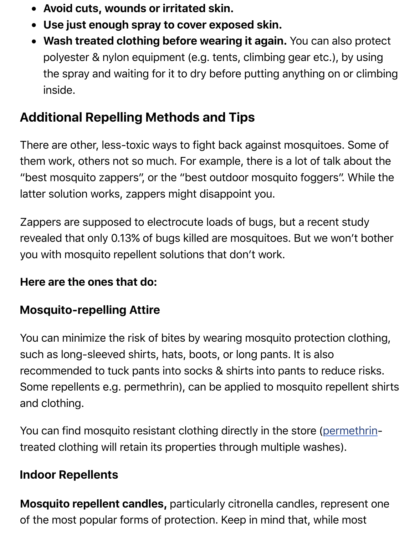the spray and waiting for it to dry before putting anything on or climbing inside.

# **Additional Repelling Methods and Tips**

There are other, less-toxic ways to fight back against mosquitoes. So them work, others not so much. For example, there is a lot of talk ab "best mosquito zappers", or the "best outdoor mosquito foggers". W latter solution works, zappers might disappoint you.

Zappers are supposed to electrocute loads of bugs, but a recent stu revealed that only 0.13% of bugs killed are mosquitoes. But we won't you with mosquito repellent solutions that don't work.

#### **Here are the ones that do:**

## **Mosquito-repelling Attire**

You can minimize the risk of bites by wearing mosquito protection cl such as long-sleeved shirts, hats, boots, or long pants. It is also recommended to tuck pants into socks & shirts into pants to reduce Some repellents e.g. permethrin), can be applied to mosquito repelle and clothing.

You can find mosquito resistant clothing directly in the store (permet treated clothing will retain its properties through multiple washes).

#### **Indoor Repellents**

**Mosquito repellent candles, particularly citronella candles, [represent on](https://en.wikipedia.org/wiki/Permethrin)ly on the one one one one one one one** of the most popular forms of protection. Keep in mind that, while mo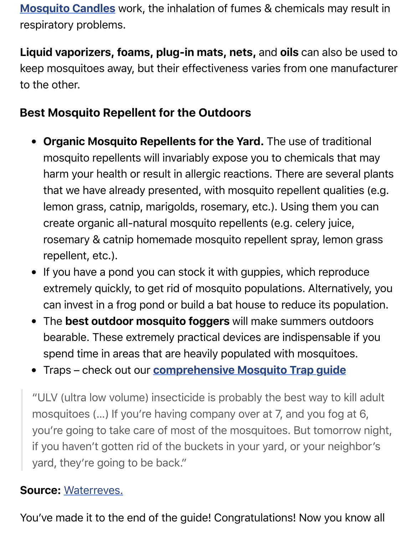keep mosquitoes away, but their effectiveness varies from one manufacturer [to the other.](http://pestrepellercenter.com/product/B00KWLG9DO/US/pestrepell-20/)

#### **Best Mosquito Repellent for the Outdoors**

- **Organic Mosquito Repellents for the Yard.** The use of traditional mosquito repellents will invariably expose you to chemicals that harm your health or result in allergic reactions. There are several that we have already presented, with mosquito repellent qualitie lemon grass, catnip, marigolds, rosemary, etc.). Using them you create organic all-natural mosquito repellents (e.g. celery juice, rosemary & catnip homemade mosquito repellent spray, lemon repellent, etc.).
- If you have a pond you can stock it with guppies, which reprodu extremely quickly, to get rid of mosquito populations. Alternative can invest in a frog pond or build a bat house to reduce its popu
- The **best outdoor mosquito foggers** will make summers outdo  $\bullet$ bearable. These extremely practical devices are indispensable if spend time in areas that are heavily populated with mosquitoes.
- Traps check out our **comprehensive Mosquito Trap guide**

"ULV (ultra low volume) insecticide is probably the best way to kill mosquitoes (...) If you're having company over at 7, and you fog at you're going to take care of most of the mosquitoes. But tomorrov if you haven't gotten rid [of the buckets in your yard, or your neig](http://pestrepellercenter.com/best-mosquito-traps/)hl yard, they're going to be back."

#### **Source:** Waterreves.

You've made it to the end of the guide! Congratulations! Now you kn